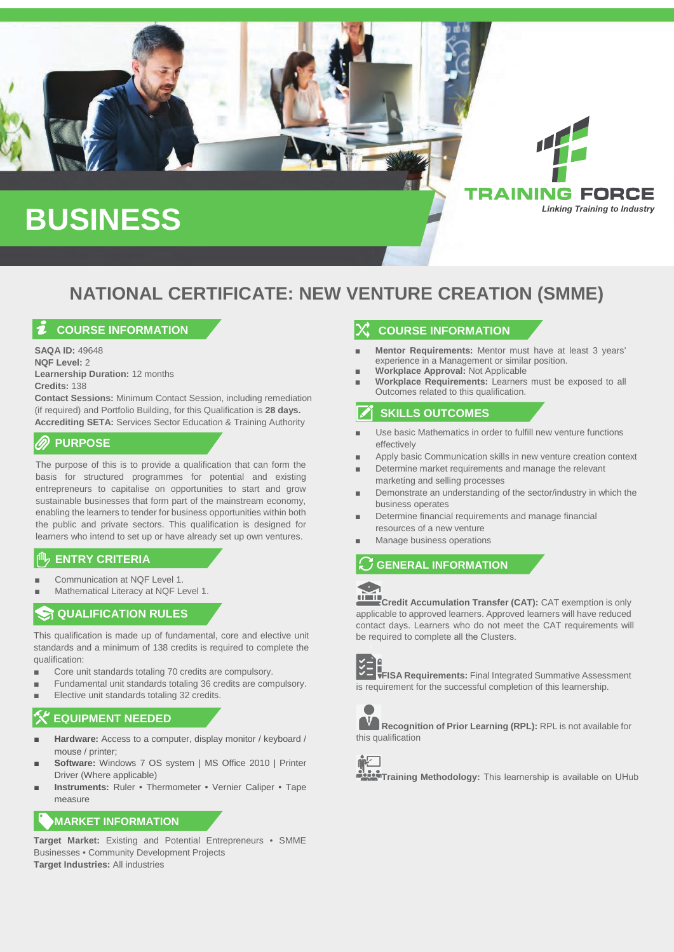

# **NATIONAL CERTIFICATE: NEW VENTURE CREATION (SMME)**

## **COURSE INFORMATION**

**SAQA ID:** 49648 **NQF Level:** 2 **Learnership Duration:** 12 months **Credits:** 138

**Contact Sessions:** Minimum Contact Session, including remediation (if required) and Portfolio Building, for this Qualification is **28 days. Accrediting SETA:** Services Sector Education & Training Authority

### **PURPOSE**

The purpose of this is to provide a qualification that can form the basis for structured programmes for potential and existing entrepreneurs to capitalise on opportunities to start and grow sustainable businesses that form part of the mainstream economy, enabling the learners to tender for business opportunities within both the public and private sectors. This qualification is designed for learners who intend to set up or have already set up own ventures.

# **ENTRY CRITERIA**

- Communication at NQF Level 1.
- Mathematical Literacy at NOF Level 1.

# **ST QUALIFICATION RULES**

This qualification is made up of fundamental, core and elective unit standards and a minimum of 138 credits is required to complete the qualification:

- Core unit standards totaling 70 credits are compulsory.
- Fundamental unit standards totaling 36 credits are compulsory.
- Elective unit standards totaling 32 credits.

# **EQUIPMENT NEEDED**

- **Hardware:** Access to a computer, display monitor / keyboard / mouse / printer;
- **Software:** Windows 7 OS system | MS Office 2010 | Printer Driver (Where applicable)
- **Instruments: Ruler Thermometer Vernier Caliper Tape** measure

### **MARKET INFORMATION**

**Target Market:** Existing and Potential Entrepreneurs • SMME Businesses • Community Development Projects **Target Industries:** All industries

# **COURSE INFORMATION**

- **Mentor Requirements:** Mentor must have at least 3 years' experience in a Management or similar position.
- Workplace Approval: Not Applicable
- **Workplace Requirements: Learners must be exposed to all** Outcomes related to this qualification.

# **SKILLS OUTCOMES**

- Use basic Mathematics in order to fulfill new venture functions **effectively**
- Apply basic Communication skills in new venture creation context
- Determine market requirements and manage the relevant marketing and selling processes
- Demonstrate an understanding of the sector/industry in which the business operates
- Determine financial requirements and manage financial resources of a new venture
- Manage business operations

# **GENERAL INFORMATION**



**Credit Accumulation Transfer (CAT):** CAT exemption is only applicable to approved learners. Approved learners will have reduced contact days. Learners who do not meet the CAT requirements will be required to complete all the Clusters.



**FISA Requirements:** Final Integrated Summative Assessment is requirement for the successful completion of this learnership.



**Recognition of Prior Learning (RPL):** RPL is not available for this qualification



**Training Methodology:** This learnership is available on UHub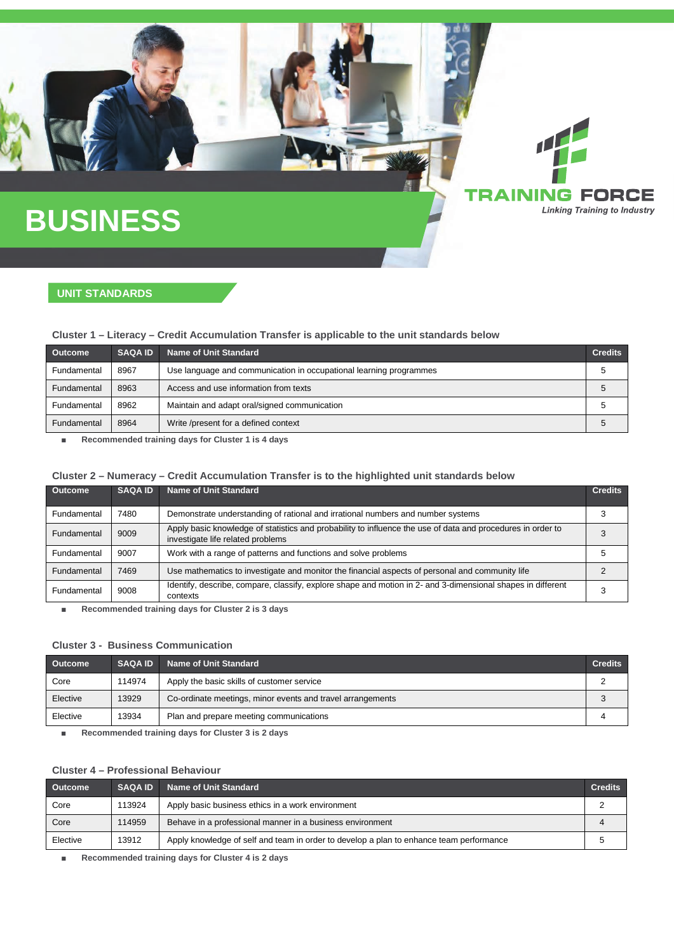# **BUSINESS**

# **UNIT STANDARDS**

### **Cluster 1 – Literacy – Credit Accumulation Transfer is applicable to the unit standards below**

| <b>Outcome</b> | <b>SAQA ID</b> | Name of Unit Standard                                              | <b>Credits</b> |
|----------------|----------------|--------------------------------------------------------------------|----------------|
| Fundamental    | 8967           | Use language and communication in occupational learning programmes | G              |
| Fundamental    | 8963           | Access and use information from texts                              | C              |
| Fundamental    | 8962           | Maintain and adapt oral/signed communication                       |                |
| Fundamental    | 8964           | Write /present for a defined context                               |                |

G FORCE **Linking Training to Industry** 

■ **Recommended training days for Cluster 1 is 4 days**

### **Cluster 2 – Numeracy – Credit Accumulation Transfer is to the highlighted unit standards below**

| <b>Outcome</b> | <b>SAQA ID.</b> | Name of Unit Standard                                                                                                                            | <b>Credits</b> |
|----------------|-----------------|--------------------------------------------------------------------------------------------------------------------------------------------------|----------------|
| Fundamental    | 7480            | Demonstrate understanding of rational and irrational numbers and number systems                                                                  |                |
| Fundamental    | 9009            | Apply basic knowledge of statistics and probability to influence the use of data and procedures in order to<br>investigate life related problems |                |
| Fundamental    | 9007            | Work with a range of patterns and functions and solve problems                                                                                   |                |
| Fundamental    | 7469            | Use mathematics to investigate and monitor the financial aspects of personal and community life                                                  |                |
| Fundamental    | 9008            | Identify, describe, compare, classify, explore shape and motion in 2- and 3-dimensional shapes in different<br>contexts                          |                |

■ **Recommended training days for Cluster 2 is 3 days**

### **Cluster 3 - Business Communication**

| <b>Outcome</b> | <b>SAQA ID</b> | Name of Unit Standard                                      | <b>Credits</b> |
|----------------|----------------|------------------------------------------------------------|----------------|
| Core           | 114974         | Apply the basic skills of customer service                 |                |
| Elective       | 13929          | Co-ordinate meetings, minor events and travel arrangements |                |
| Elective       | 13934          | Plan and prepare meeting communications                    |                |

■ **Recommended training days for Cluster 3 is 2 days**

#### **Cluster 4 – Professional Behaviour**

| <b>Outcome</b> | <b>SAQA ID</b> | <b>Name of Unit Standard</b>                                                            | <b>Credits</b> |
|----------------|----------------|-----------------------------------------------------------------------------------------|----------------|
| Core           | 113924         | Apply basic business ethics in a work environment                                       |                |
| Core           | 114959         | Behave in a professional manner in a business environment                               |                |
| Elective       | 13912          | Apply knowledge of self and team in order to develop a plan to enhance team performance |                |

■ **Recommended training days for Cluster 4 is 2 days**